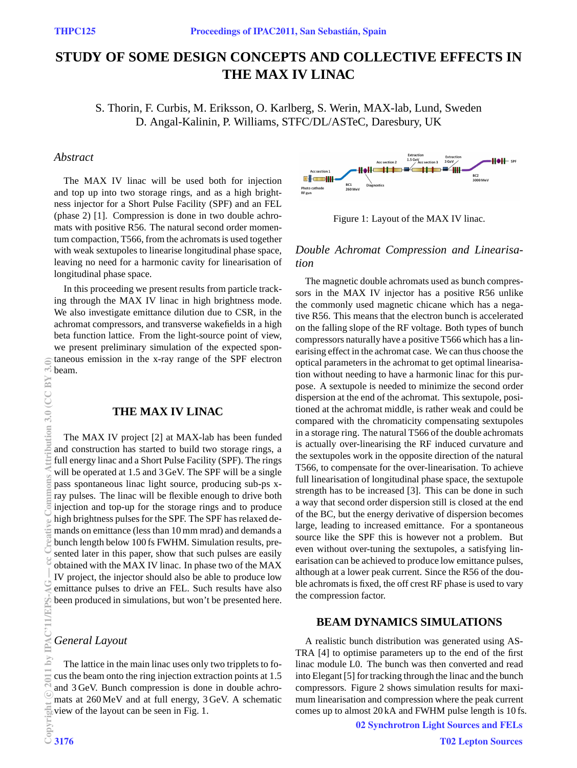# **STUDY OF SOME DESIGN CONCEPTS AND COLLECTIVE EFFECTS IN THE MAX IV LINAC**

S. Thorin, F. Curbis, M. Eriksson, O. Karlberg, S. Werin, MAX-lab, Lund, Sweden D. Angal-Kalinin, P. Williams, STFC/DL/ASTeC, Daresbury, UK

## *Abstract*

The MAX IV linac will be used both for injection and top up into two storage rings, and as a high brightness injector for a Short Pulse Facility (SPF) and an FEL (phase 2) [1]. Compression is done in two double achromats with positive R56. The natural second order momentum compaction, T566, from the achromats is used together with weak sextupoles to linearise longitudinal phase space, leaving no need for a harmonic cavity for linearisation of longitudinal phase space.

In this proceeding we present results from particle tracking through the MAX IV linac in high brightness mode. We also investigate emittance dilution due to CSR, in the achromat compressors, and transverse wakefields in a high beta function lattice. From the light-source point of view, we present preliminary simulation of the expected spontaneous emission in the x-ray range of the SPF electron beam.

## **THE MAX IV LINAC**

The MAX IV project [2] at MAX-lab has been funded and construction has started to build two storage rings, a full energy linac and a Short Pulse Facility (SPF). The rings will be operated at 1.5 and 3 GeV. The SPF will be a single pass spontaneous linac light source, producing sub-ps xray pulses. The linac will be flexible enough to drive both injection and top-up for the storage rings and to produce high brightness pulses for the SPF. The SPF has relaxed demands on emittance (less than 10 mm mrad) and demands a bunch length below 100 fs FWHM. Simulation results, presented later in this paper, show that such pulses are easily obtained with the MAX IV linac. In phase two of the MAX IV project, the injector should also be able to produce low emittance pulses to drive an FEL. Such results have also been produced in simulations, but won't be presented here.

### *General Layout*

The lattice in the main linac uses only two tripplets to focus the beam onto the ring injection extraction points at 1.5 and 3 GeV. Bunch compression is done in double achromats at 260 MeV and at full energy, 3 GeV. A schematic view of the layout can be seen in Fig. 1.



Figure 1: Layout of the MAX IV linac.

## *Double Achromat Compression and Linearisation*

The magnetic double achromats used as bunch compressors in the MAX IV injector has a positive R56 unlike the commonly used magnetic chicane which has a negative R56. This means that the electron bunch is accelerated on the falling slope of the RF voltage. Both types of bunch compressors naturally have a positive T566 which has a linearising effect in the achromat case. We can thus choose the optical parameters in the achromat to get optimal linearisation without needing to have a harmonic linac for this purpose. A sextupole is needed to minimize the second order dispersion at the end of the achromat. This sextupole, positioned at the achromat middle, is rather weak and could be compared with the chromaticity compensating sextupoles in a storage ring. The natural T566 of the double achromats is actually over-linearising the RF induced curvature and the sextupoles work in the opposite direction of the natural T566, to compensate for the over-linearisation. To achieve full linearisation of longitudinal phase space, the sextupole strength has to be increased [3]. This can be done in such a way that second order dispersion still is closed at the end of the BC, but the energy derivative of dispersion becomes large, leading to increased emittance. For a spontaneous source like the SPF this is however not a problem. But even without over-tuning the sextupoles, a satisfying linearisation can be achieved to produce low emittance pulses, although at a lower peak current. Since the R56 of the double achromats is fixed, the off crest RF phase is used to vary the compression factor.

## **BEAM DYNAMICS SIMULATIONS**

A realistic bunch distribution was generated using AS-TRA [4] to optimise parameters up to the end of the first linac module L0. The bunch was then converted and read into Elegant [5] for tracking through the linac and the bunch compressors. Figure 2 shows simulation results for maximum linearisation and compression where the peak current comes up to almost 20 kA and FWHM pulse length is 10 fs.

02 Synchrotron Light Sources and FELs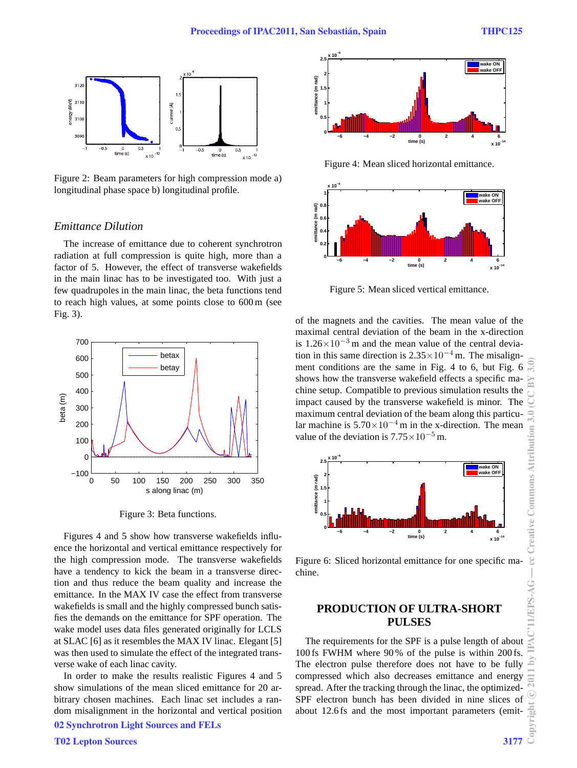**1.5 2 2.5 x 10−6**

Tag

**wake ON wake OFF**

**x 10−14**



Figure 2: Beam parameters for high compression mode a) longitudinal phase space b) longitudinal profile.

## *Emittance Dilution*

The increase of emittance due to coherent synchrotron radiation at full compression is quite high, more than a factor of 5. However, the effect of transverse wakefields in the main linac has to be investigated too. With just a few quadrupoles in the main linac, the beta functions tend to reach high values, at some points close to 600 m (see Fig. 3).



Figure 3: Beta functions.

Figures 4 and 5 show how transverse wakefields influence the horizontal and vertical emittance respectively for the high compression mode. The transverse wakefields have a tendency to kick the beam in a transverse direction and thus reduce the beam quality and increase the emittance. In the MAX IV case the effect from transverse wakefields is small and the highly compressed bunch satisfies the demands on the emittance for SPF operation. The wake model uses data files generated originally for LCLS at SLAC [6] as it resembles the MAX IV linac. Elegant [5] was then used to simulate the effect of the integrated transverse wake of each linac cavity.

In order to make the results realistic Figures 4 and 5 show simulations of the mean sliced emittance for 20 arbitrary chosen machines. Each linac set includes a random misalignment in the horizontal and vertical position 02 Synchrotron Light Sources and FELs





Figure 5: Mean sliced vertical emittance.

of the magnets and the cavities. The mean value of the maximal central deviation of the beam in the x-direction is  $1.26 \times 10^{-3}$  m and the mean value of the central deviation in this same direction is  $2.35 \times 10^{-4}$  m. The misalignment conditions are the same in Fig. 4 to 6, but Fig. 6 shows how the transverse wakefield effects a specific machine setup. Compatible to previous simulation results the impact caused by the transverse wakefield is minor. The maximum central deviation of the beam along this particular machine is  $5.70 \times 10^{-4}$  m in the x-direction. The mean value of the deviation is  $7.75 \times 10^{-5}$  m.



Figure 6: Sliced horizontal emittance for one specific machine.

## **PRODUCTION OF ULTRA-SHORT PULSES**

The requirements for the SPF is a pulse length of about 100 fs FWHM where 90 % of the pulse is within 200 fs. The electron pulse therefore does not have to be fully compressed which also decreases emittance and energy spread. After the tracking through the linac, the optimized-SPF electron bunch has been divided in nine slices of about 12.6 fs and the most important parameters (emit